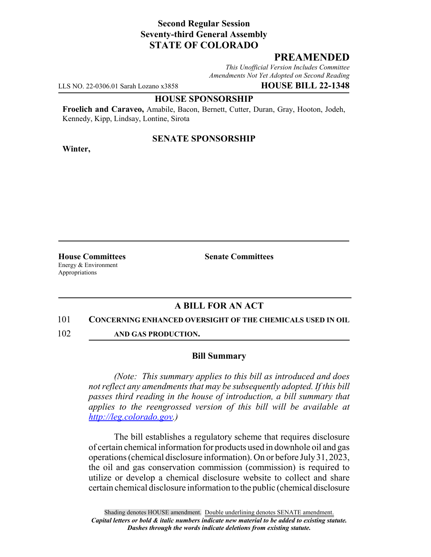# **Second Regular Session Seventy-third General Assembly STATE OF COLORADO**

# **PREAMENDED**

*This Unofficial Version Includes Committee Amendments Not Yet Adopted on Second Reading*

LLS NO. 22-0306.01 Sarah Lozano x3858 **HOUSE BILL 22-1348**

#### **HOUSE SPONSORSHIP**

**Froelich and Caraveo,** Amabile, Bacon, Bernett, Cutter, Duran, Gray, Hooton, Jodeh, Kennedy, Kipp, Lindsay, Lontine, Sirota

## **SENATE SPONSORSHIP**

**Winter,**

Energy & Environment Appropriations

**House Committees Senate Committees**

# **A BILL FOR AN ACT**

#### 101 **CONCERNING ENHANCED OVERSIGHT OF THE CHEMICALS USED IN OIL**

102 **AND GAS PRODUCTION.**

### **Bill Summary**

*(Note: This summary applies to this bill as introduced and does not reflect any amendments that may be subsequently adopted. If this bill passes third reading in the house of introduction, a bill summary that applies to the reengrossed version of this bill will be available at http://leg.colorado.gov.)*

The bill establishes a regulatory scheme that requires disclosure of certain chemical information for products used in downhole oil and gas operations (chemical disclosure information). On or before July 31, 2023, the oil and gas conservation commission (commission) is required to utilize or develop a chemical disclosure website to collect and share certain chemical disclosure information to the public (chemical disclosure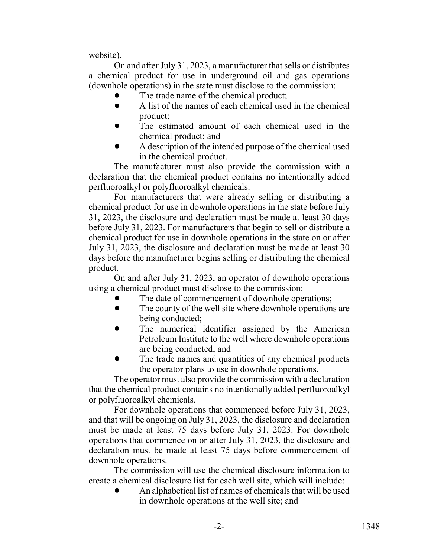website).

On and after July 31, 2023, a manufacturer that sells or distributes a chemical product for use in underground oil and gas operations (downhole operations) in the state must disclose to the commission:

- The trade name of the chemical product;
- ! A list of the names of each chemical used in the chemical product;
- The estimated amount of each chemical used in the chemical product; and
- ! A description of the intended purpose of the chemical used in the chemical product.

The manufacturer must also provide the commission with a declaration that the chemical product contains no intentionally added perfluoroalkyl or polyfluoroalkyl chemicals.

For manufacturers that were already selling or distributing a chemical product for use in downhole operations in the state before July 31, 2023, the disclosure and declaration must be made at least 30 days before July 31, 2023. For manufacturers that begin to sell or distribute a chemical product for use in downhole operations in the state on or after July 31, 2023, the disclosure and declaration must be made at least 30 days before the manufacturer begins selling or distributing the chemical product.

On and after July 31, 2023, an operator of downhole operations using a chemical product must disclose to the commission:

- The date of commencement of downhole operations;
- The county of the well site where downhole operations are being conducted;
- The numerical identifier assigned by the American Petroleum Institute to the well where downhole operations are being conducted; and
- The trade names and quantities of any chemical products the operator plans to use in downhole operations.

The operator must also provide the commission with a declaration that the chemical product contains no intentionally added perfluoroalkyl or polyfluoroalkyl chemicals.

For downhole operations that commenced before July 31, 2023, and that will be ongoing on July 31, 2023, the disclosure and declaration must be made at least 75 days before July 31, 2023. For downhole operations that commence on or after July 31, 2023, the disclosure and declaration must be made at least 75 days before commencement of downhole operations.

The commission will use the chemical disclosure information to create a chemical disclosure list for each well site, which will include:

An alphabetical list of names of chemicals that will be used in downhole operations at the well site; and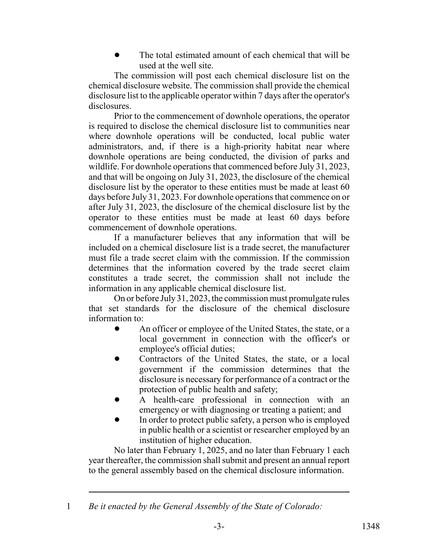The total estimated amount of each chemical that will be used at the well site.

The commission will post each chemical disclosure list on the chemical disclosure website. The commission shall provide the chemical disclosure list to the applicable operator within 7 days after the operator's disclosures.

Prior to the commencement of downhole operations, the operator is required to disclose the chemical disclosure list to communities near where downhole operations will be conducted, local public water administrators, and, if there is a high-priority habitat near where downhole operations are being conducted, the division of parks and wildlife. For downhole operations that commenced before July 31, 2023, and that will be ongoing on July 31, 2023, the disclosure of the chemical disclosure list by the operator to these entities must be made at least 60 days before July 31, 2023. For downhole operations that commence on or after July 31, 2023, the disclosure of the chemical disclosure list by the operator to these entities must be made at least 60 days before commencement of downhole operations.

If a manufacturer believes that any information that will be included on a chemical disclosure list is a trade secret, the manufacturer must file a trade secret claim with the commission. If the commission determines that the information covered by the trade secret claim constitutes a trade secret, the commission shall not include the information in any applicable chemical disclosure list.

On or before July 31, 2023, the commission must promulgate rules that set standards for the disclosure of the chemical disclosure information to:

- An officer or employee of the United States, the state, or a local government in connection with the officer's or employee's official duties;
- ! Contractors of the United States, the state, or a local government if the commission determines that the disclosure is necessary for performance of a contract or the protection of public health and safety;
- A health-care professional in connection with an emergency or with diagnosing or treating a patient; and
- In order to protect public safety, a person who is employed in public health or a scientist or researcher employed by an institution of higher education.

No later than February 1, 2025, and no later than February 1 each year thereafter, the commission shall submit and present an annual report to the general assembly based on the chemical disclosure information.

<sup>1</sup> *Be it enacted by the General Assembly of the State of Colorado:*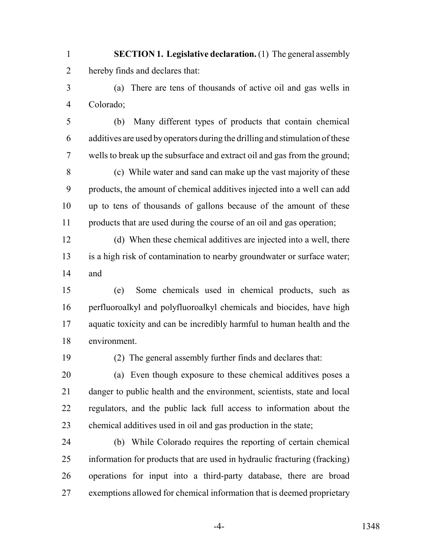- **SECTION 1. Legislative declaration.** (1) The general assembly hereby finds and declares that:
- (a) There are tens of thousands of active oil and gas wells in Colorado;
- (b) Many different types of products that contain chemical additives are used by operators during the drilling and stimulation of these wells to break up the subsurface and extract oil and gas from the ground;
- (c) While water and sand can make up the vast majority of these products, the amount of chemical additives injected into a well can add up to tens of thousands of gallons because of the amount of these products that are used during the course of an oil and gas operation;
- (d) When these chemical additives are injected into a well, there is a high risk of contamination to nearby groundwater or surface water; and
- (e) Some chemicals used in chemical products, such as perfluoroalkyl and polyfluoroalkyl chemicals and biocides, have high aquatic toxicity and can be incredibly harmful to human health and the environment.
- 

(2) The general assembly further finds and declares that:

- (a) Even though exposure to these chemical additives poses a danger to public health and the environment, scientists, state and local regulators, and the public lack full access to information about the chemical additives used in oil and gas production in the state;
- (b) While Colorado requires the reporting of certain chemical information for products that are used in hydraulic fracturing (fracking) operations for input into a third-party database, there are broad exemptions allowed for chemical information that is deemed proprietary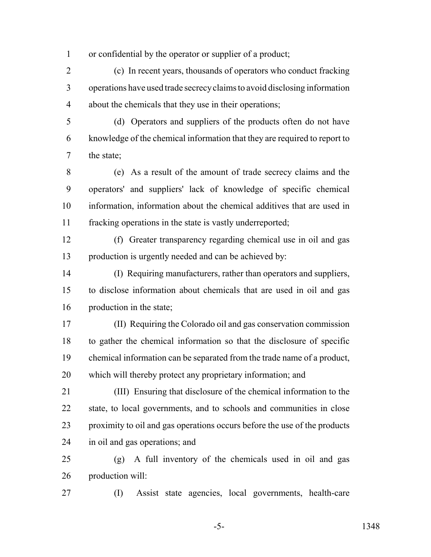or confidential by the operator or supplier of a product;

 (c) In recent years, thousands of operators who conduct fracking operations have used trade secrecy claims to avoid disclosing information about the chemicals that they use in their operations;

 (d) Operators and suppliers of the products often do not have knowledge of the chemical information that they are required to report to the state;

 (e) As a result of the amount of trade secrecy claims and the operators' and suppliers' lack of knowledge of specific chemical information, information about the chemical additives that are used in fracking operations in the state is vastly underreported;

- (f) Greater transparency regarding chemical use in oil and gas production is urgently needed and can be achieved by:
- (I) Requiring manufacturers, rather than operators and suppliers, to disclose information about chemicals that are used in oil and gas production in the state;
- (II) Requiring the Colorado oil and gas conservation commission to gather the chemical information so that the disclosure of specific chemical information can be separated from the trade name of a product, which will thereby protect any proprietary information; and
- (III) Ensuring that disclosure of the chemical information to the state, to local governments, and to schools and communities in close proximity to oil and gas operations occurs before the use of the products in oil and gas operations; and
- (g) A full inventory of the chemicals used in oil and gas production will:
- 

(I) Assist state agencies, local governments, health-care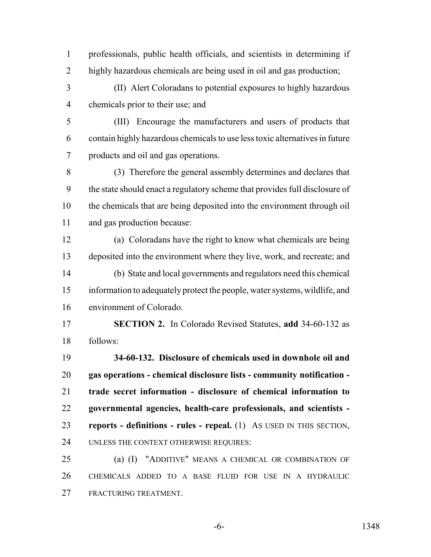professionals, public health officials, and scientists in determining if highly hazardous chemicals are being used in oil and gas production;

 (II) Alert Coloradans to potential exposures to highly hazardous chemicals prior to their use; and

 (III) Encourage the manufacturers and users of products that contain highly hazardous chemicals to use less toxic alternatives in future products and oil and gas operations.

 (3) Therefore the general assembly determines and declares that the state should enact a regulatory scheme that provides full disclosure of the chemicals that are being deposited into the environment through oil and gas production because:

 (a) Coloradans have the right to know what chemicals are being deposited into the environment where they live, work, and recreate; and (b) State and local governments and regulators need this chemical information to adequately protect the people, water systems, wildlife, and environment of Colorado.

 **SECTION 2.** In Colorado Revised Statutes, **add** 34-60-132 as follows:

 **34-60-132. Disclosure of chemicals used in downhole oil and gas operations - chemical disclosure lists - community notification - trade secret information - disclosure of chemical information to governmental agencies, health-care professionals, and scientists - reports - definitions - rules - repeal.** (1) AS USED IN THIS SECTION, UNLESS THE CONTEXT OTHERWISE REQUIRES:

 (a) (I) "ADDITIVE" MEANS A CHEMICAL OR COMBINATION OF CHEMICALS ADDED TO A BASE FLUID FOR USE IN A HYDRAULIC FRACTURING TREATMENT.

-6- 1348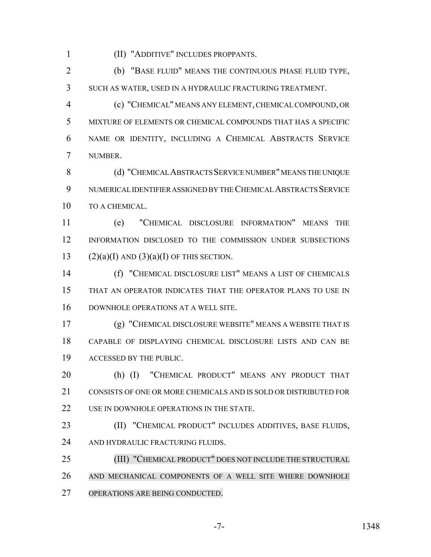(II) "ADDITIVE" INCLUDES PROPPANTS.

 (b) "BASE FLUID" MEANS THE CONTINUOUS PHASE FLUID TYPE, SUCH AS WATER, USED IN A HYDRAULIC FRACTURING TREATMENT.

 (c) "CHEMICAL" MEANS ANY ELEMENT, CHEMICAL COMPOUND, OR MIXTURE OF ELEMENTS OR CHEMICAL COMPOUNDS THAT HAS A SPECIFIC NAME OR IDENTITY, INCLUDING A CHEMICAL ABSTRACTS SERVICE NUMBER.

8 (d) "CHEMICAL ABSTRACTS SERVICE NUMBER" MEANS THE UNIQUE NUMERICAL IDENTIFIER ASSIGNED BY THE CHEMICAL ABSTRACTS SERVICE TO A CHEMICAL.

 (e) "CHEMICAL DISCLOSURE INFORMATION" MEANS THE INFORMATION DISCLOSED TO THE COMMISSION UNDER SUBSECTIONS 13 (2)(a)(I) AND (3)(a)(I) OF THIS SECTION.

 (f) "CHEMICAL DISCLOSURE LIST" MEANS A LIST OF CHEMICALS THAT AN OPERATOR INDICATES THAT THE OPERATOR PLANS TO USE IN DOWNHOLE OPERATIONS AT A WELL SITE.

 (g) "CHEMICAL DISCLOSURE WEBSITE" MEANS A WEBSITE THAT IS CAPABLE OF DISPLAYING CHEMICAL DISCLOSURE LISTS AND CAN BE ACCESSED BY THE PUBLIC.

 (h) (I) "CHEMICAL PRODUCT" MEANS ANY PRODUCT THAT 21 CONSISTS OF ONE OR MORE CHEMICALS AND IS SOLD OR DISTRIBUTED FOR 22 USE IN DOWNHOLE OPERATIONS IN THE STATE.

 (II) "CHEMICAL PRODUCT" INCLUDES ADDITIVES, BASE FLUIDS, 24 AND HYDRAULIC FRACTURING FLUIDS.

 (III) "CHEMICAL PRODUCT" DOES NOT INCLUDE THE STRUCTURAL AND MECHANICAL COMPONENTS OF A WELL SITE WHERE DOWNHOLE OPERATIONS ARE BEING CONDUCTED.

-7- 1348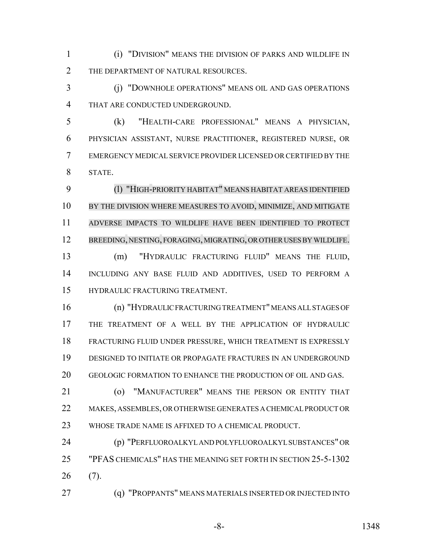(i) "DIVISION" MEANS THE DIVISION OF PARKS AND WILDLIFE IN 2 THE DEPARTMENT OF NATURAL RESOURCES.

 (j) "DOWNHOLE OPERATIONS" MEANS OIL AND GAS OPERATIONS THAT ARE CONDUCTED UNDERGROUND.

 (k) "HEALTH-CARE PROFESSIONAL" MEANS A PHYSICIAN, PHYSICIAN ASSISTANT, NURSE PRACTITIONER, REGISTERED NURSE, OR EMERGENCY MEDICAL SERVICE PROVIDER LICENSED OR CERTIFIED BY THE STATE.

 (l) "HIGH-PRIORITY HABITAT" MEANS HABITAT AREAS IDENTIFIED BY THE DIVISION WHERE MEASURES TO AVOID, MINIMIZE, AND MITIGATE ADVERSE IMPACTS TO WILDLIFE HAVE BEEN IDENTIFIED TO PROTECT BREEDING, NESTING, FORAGING, MIGRATING, OR OTHER USES BY WILDLIFE. (m) "HYDRAULIC FRACTURING FLUID" MEANS THE FLUID,

 INCLUDING ANY BASE FLUID AND ADDITIVES, USED TO PERFORM A HYDRAULIC FRACTURING TREATMENT.

 (n) "HYDRAULIC FRACTURING TREATMENT" MEANS ALL STAGES OF THE TREATMENT OF A WELL BY THE APPLICATION OF HYDRAULIC FRACTURING FLUID UNDER PRESSURE, WHICH TREATMENT IS EXPRESSLY DESIGNED TO INITIATE OR PROPAGATE FRACTURES IN AN UNDERGROUND GEOLOGIC FORMATION TO ENHANCE THE PRODUCTION OF OIL AND GAS.

 (o) "MANUFACTURER" MEANS THE PERSON OR ENTITY THAT MAKES, ASSEMBLES, OR OTHERWISE GENERATES A CHEMICAL PRODUCT OR WHOSE TRADE NAME IS AFFIXED TO A CHEMICAL PRODUCT.

 (p) "PERFLUOROALKYL AND POLYFLUOROALKYL SUBSTANCES" OR "PFAS CHEMICALS" HAS THE MEANING SET FORTH IN SECTION 25-5-1302 (7).

(q) "PROPPANTS" MEANS MATERIALS INSERTED OR INJECTED INTO

-8- 1348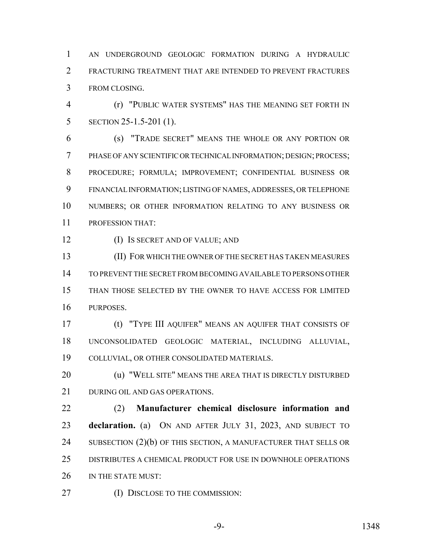AN UNDERGROUND GEOLOGIC FORMATION DURING A HYDRAULIC FRACTURING TREATMENT THAT ARE INTENDED TO PREVENT FRACTURES FROM CLOSING.

 (r) "PUBLIC WATER SYSTEMS" HAS THE MEANING SET FORTH IN SECTION 25-1.5-201 (1).

 (s) "TRADE SECRET" MEANS THE WHOLE OR ANY PORTION OR PHASE OF ANY SCIENTIFIC OR TECHNICAL INFORMATION; DESIGN; PROCESS; PROCEDURE; FORMULA; IMPROVEMENT; CONFIDENTIAL BUSINESS OR FINANCIAL INFORMATION; LISTING OF NAMES, ADDRESSES, OR TELEPHONE NUMBERS; OR OTHER INFORMATION RELATING TO ANY BUSINESS OR PROFESSION THAT:

(I) IS SECRET AND OF VALUE; AND

 (II) FOR WHICH THE OWNER OF THE SECRET HAS TAKEN MEASURES TO PREVENT THE SECRET FROM BECOMING AVAILABLE TO PERSONS OTHER THAN THOSE SELECTED BY THE OWNER TO HAVE ACCESS FOR LIMITED PURPOSES.

 (t) "TYPE III AQUIFER" MEANS AN AQUIFER THAT CONSISTS OF UNCONSOLIDATED GEOLOGIC MATERIAL, INCLUDING ALLUVIAL, COLLUVIAL, OR OTHER CONSOLIDATED MATERIALS.

**(u) "WELL SITE" MEANS THE AREA THAT IS DIRECTLY DISTURBED** 21 DURING OIL AND GAS OPERATIONS.

 (2) **Manufacturer chemical disclosure information and declaration.** (a) ON AND AFTER JULY 31, 2023, AND SUBJECT TO 24 SUBSECTION (2)(b) OF THIS SECTION, A MANUFACTURER THAT SELLS OR DISTRIBUTES A CHEMICAL PRODUCT FOR USE IN DOWNHOLE OPERATIONS 26 IN THE STATE MUST:

27 (I) DISCLOSE TO THE COMMISSION: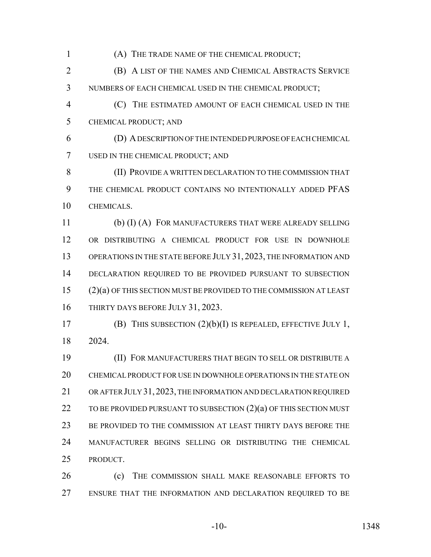(A) THE TRADE NAME OF THE CHEMICAL PRODUCT; (B) A LIST OF THE NAMES AND CHEMICAL ABSTRACTS SERVICE NUMBERS OF EACH CHEMICAL USED IN THE CHEMICAL PRODUCT; (C) THE ESTIMATED AMOUNT OF EACH CHEMICAL USED IN THE CHEMICAL PRODUCT; AND (D) A DESCRIPTION OF THE INTENDED PURPOSE OF EACH CHEMICAL USED IN THE CHEMICAL PRODUCT; AND (II) PROVIDE A WRITTEN DECLARATION TO THE COMMISSION THAT THE CHEMICAL PRODUCT CONTAINS NO INTENTIONALLY ADDED PFAS CHEMICALS. (b) (I) (A) FOR MANUFACTURERS THAT WERE ALREADY SELLING OR DISTRIBUTING A CHEMICAL PRODUCT FOR USE IN DOWNHOLE OPERATIONS IN THE STATE BEFORE JULY 31, 2023, THE INFORMATION AND 14 DECLARATION REQUIRED TO BE PROVIDED PURSUANT TO SUBSECTION (2)(a) OF THIS SECTION MUST BE PROVIDED TO THE COMMISSION AT LEAST 16 THIRTY DAYS BEFORE JULY 31, 2023. (B) THIS SUBSECTION (2)(b)(I) IS REPEALED, EFFECTIVE JULY 1, 2024. (II) FOR MANUFACTURERS THAT BEGIN TO SELL OR DISTRIBUTE A CHEMICAL PRODUCT FOR USE IN DOWNHOLE OPERATIONS IN THE STATE ON OR AFTER JULY 31,2023, THE INFORMATION AND DECLARATION REQUIRED 22 TO BE PROVIDED PURSUANT TO SUBSECTION (2)(a) OF THIS SECTION MUST BE PROVIDED TO THE COMMISSION AT LEAST THIRTY DAYS BEFORE THE MANUFACTURER BEGINS SELLING OR DISTRIBUTING THE CHEMICAL PRODUCT. **(c)** THE COMMISSION SHALL MAKE REASONABLE EFFORTS TO ENSURE THAT THE INFORMATION AND DECLARATION REQUIRED TO BE

-10- 1348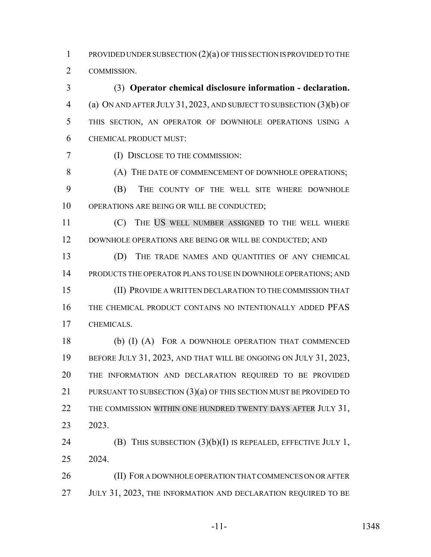PROVIDED UNDER SUBSECTION (2)(a) OF THIS SECTION IS PROVIDED TO THE COMMISSION.

 (3) **Operator chemical disclosure information - declaration.** (a) ON AND AFTER JULY 31, 2023, AND SUBJECT TO SUBSECTION (3)(b) OF THIS SECTION, AN OPERATOR OF DOWNHOLE OPERATIONS USING A CHEMICAL PRODUCT MUST:

(I) DISCLOSE TO THE COMMISSION:

8 (A) THE DATE OF COMMENCEMENT OF DOWNHOLE OPERATIONS; (B) THE COUNTY OF THE WELL SITE WHERE DOWNHOLE 10 OPERATIONS ARE BEING OR WILL BE CONDUCTED;

 (C) THE US WELL NUMBER ASSIGNED TO THE WELL WHERE 12 DOWNHOLE OPERATIONS ARE BEING OR WILL BE CONDUCTED; AND

 (D) THE TRADE NAMES AND QUANTITIES OF ANY CHEMICAL PRODUCTS THE OPERATOR PLANS TO USE IN DOWNHOLE OPERATIONS; AND (II) PROVIDE A WRITTEN DECLARATION TO THE COMMISSION THAT THE CHEMICAL PRODUCT CONTAINS NO INTENTIONALLY ADDED PFAS CHEMICALS.

 (b) (I) (A) FOR A DOWNHOLE OPERATION THAT COMMENCED 19 BEFORE JULY 31, 2023, AND THAT WILL BE ONGOING ON JULY 31, 2023, THE INFORMATION AND DECLARATION REQUIRED TO BE PROVIDED 21 PURSUANT TO SUBSECTION (3)(a) OF THIS SECTION MUST BE PROVIDED TO 22 THE COMMISSION WITHIN ONE HUNDRED TWENTY DAYS AFTER JULY 31, 2023.

**(B)** THIS SUBSECTION (3)(b)(I) IS REPEALED, EFFECTIVE JULY 1, 2024.

26 (II) FOR A DOWNHOLE OPERATION THAT COMMENCES ON OR AFTER 27 JULY 31, 2023, THE INFORMATION AND DECLARATION REQUIRED TO BE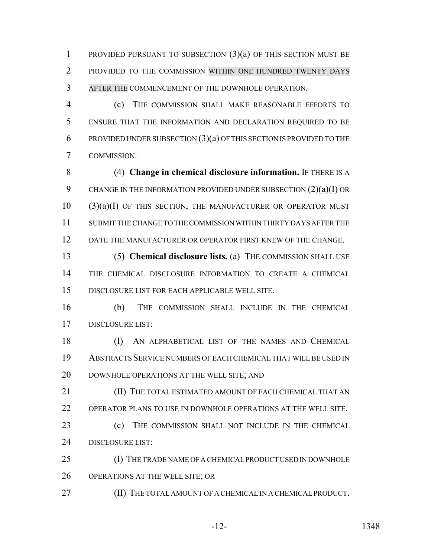PROVIDED PURSUANT TO SUBSECTION (3)(a) OF THIS SECTION MUST BE PROVIDED TO THE COMMISSION WITHIN ONE HUNDRED TWENTY DAYS AFTER THE COMMENCEMENT OF THE DOWNHOLE OPERATION.

 (c) THE COMMISSION SHALL MAKE REASONABLE EFFORTS TO ENSURE THAT THE INFORMATION AND DECLARATION REQUIRED TO BE 6 PROVIDED UNDER SUBSECTION  $(3)(a)$  OF THIS SECTION IS PROVIDED TO THE COMMISSION.

 (4) **Change in chemical disclosure information.** IF THERE IS A CHANGE IN THE INFORMATION PROVIDED UNDER SUBSECTION (2)(a)(I) OR (3)(a)(I) OF THIS SECTION, THE MANUFACTURER OR OPERATOR MUST SUBMIT THE CHANGE TO THE COMMISSION WITHIN THIRTY DAYS AFTER THE DATE THE MANUFACTURER OR OPERATOR FIRST KNEW OF THE CHANGE.

 (5) **Chemical disclosure lists.** (a) THE COMMISSION SHALL USE THE CHEMICAL DISCLOSURE INFORMATION TO CREATE A CHEMICAL DISCLOSURE LIST FOR EACH APPLICABLE WELL SITE.

 (b) THE COMMISSION SHALL INCLUDE IN THE CHEMICAL DISCLOSURE LIST:

 (I) AN ALPHABETICAL LIST OF THE NAMES AND CHEMICAL ABSTRACTS SERVICE NUMBERS OF EACH CHEMICAL THAT WILL BE USED IN DOWNHOLE OPERATIONS AT THE WELL SITE; AND

**III) THE TOTAL ESTIMATED AMOUNT OF EACH CHEMICAL THAT AN** OPERATOR PLANS TO USE IN DOWNHOLE OPERATIONS AT THE WELL SITE.

 (c) THE COMMISSION SHALL NOT INCLUDE IN THE CHEMICAL 24 DISCLOSURE LIST:

 (I) THE TRADE NAME OF A CHEMICAL PRODUCT USED IN DOWNHOLE OPERATIONS AT THE WELL SITE; OR

**(II) THE TOTAL AMOUNT OF A CHEMICAL IN A CHEMICAL PRODUCT.**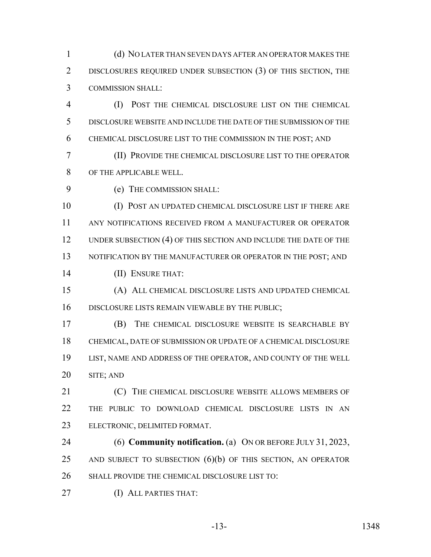(d) NO LATER THAN SEVEN DAYS AFTER AN OPERATOR MAKES THE 2 DISCLOSURES REQUIRED UNDER SUBSECTION (3) OF THIS SECTION, THE COMMISSION SHALL:

 (I) POST THE CHEMICAL DISCLOSURE LIST ON THE CHEMICAL DISCLOSURE WEBSITE AND INCLUDE THE DATE OF THE SUBMISSION OF THE CHEMICAL DISCLOSURE LIST TO THE COMMISSION IN THE POST; AND

 (II) PROVIDE THE CHEMICAL DISCLOSURE LIST TO THE OPERATOR OF THE APPLICABLE WELL.

(e) THE COMMISSION SHALL:

 (I) POST AN UPDATED CHEMICAL DISCLOSURE LIST IF THERE ARE ANY NOTIFICATIONS RECEIVED FROM A MANUFACTURER OR OPERATOR 12 UNDER SUBSECTION (4) OF THIS SECTION AND INCLUDE THE DATE OF THE 13 NOTIFICATION BY THE MANUFACTURER OR OPERATOR IN THE POST; AND (II) ENSURE THAT:

 (A) ALL CHEMICAL DISCLOSURE LISTS AND UPDATED CHEMICAL DISCLOSURE LISTS REMAIN VIEWABLE BY THE PUBLIC;

 (B) THE CHEMICAL DISCLOSURE WEBSITE IS SEARCHABLE BY CHEMICAL, DATE OF SUBMISSION OR UPDATE OF A CHEMICAL DISCLOSURE LIST, NAME AND ADDRESS OF THE OPERATOR, AND COUNTY OF THE WELL SITE; AND

**(C)** THE CHEMICAL DISCLOSURE WEBSITE ALLOWS MEMBERS OF THE PUBLIC TO DOWNLOAD CHEMICAL DISCLOSURE LISTS IN AN ELECTRONIC, DELIMITED FORMAT.

 (6) **Community notification.** (a) ON OR BEFORE JULY 31, 2023, 25 AND SUBJECT TO SUBSECTION  $(6)(b)$  OF THIS SECTION, AN OPERATOR SHALL PROVIDE THE CHEMICAL DISCLOSURE LIST TO:

(I) ALL PARTIES THAT: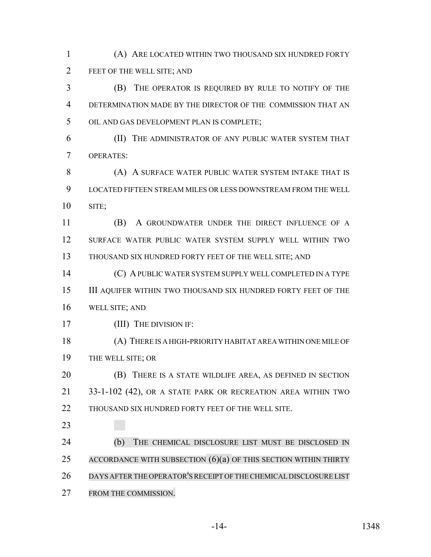(A) ARE LOCATED WITHIN TWO THOUSAND SIX HUNDRED FORTY FEET OF THE WELL SITE; AND

 (B) THE OPERATOR IS REQUIRED BY RULE TO NOTIFY OF THE DETERMINATION MADE BY THE DIRECTOR OF THE COMMISSION THAT AN OIL AND GAS DEVELOPMENT PLAN IS COMPLETE;

 (II) THE ADMINISTRATOR OF ANY PUBLIC WATER SYSTEM THAT OPERATES:

**(A) A SURFACE WATER PUBLIC WATER SYSTEM INTAKE THAT IS**  LOCATED FIFTEEN STREAM MILES OR LESS DOWNSTREAM FROM THE WELL SITE;

 (B) A GROUNDWATER UNDER THE DIRECT INFLUENCE OF A SURFACE WATER PUBLIC WATER SYSTEM SUPPLY WELL WITHIN TWO 13 THOUSAND SIX HUNDRED FORTY FEET OF THE WELL SITE; AND

 (C) A PUBLIC WATER SYSTEM SUPPLY WELL COMPLETED IN A TYPE III AQUIFER WITHIN TWO THOUSAND SIX HUNDRED FORTY FEET OF THE WELL SITE; AND

17 (III) THE DIVISION IF:

 (A) THERE IS A HIGH-PRIORITY HABITAT AREA WITHIN ONE MILE OF THE WELL SITE; OR

 (B) THERE IS A STATE WILDLIFE AREA, AS DEFINED IN SECTION 33-1-102 (42), OR A STATE PARK OR RECREATION AREA WITHIN TWO 22 THOUSAND SIX HUNDRED FORTY FEET OF THE WELL SITE.

 (b) THE CHEMICAL DISCLOSURE LIST MUST BE DISCLOSED IN 25 ACCORDANCE WITH SUBSECTION  $(6)(a)$  OF THIS SECTION WITHIN THIRTY DAYS AFTERTHE OPERATOR'SRECEIPT OF THE CHEMICAL DISCLOSURE LIST FROM THE COMMISSION.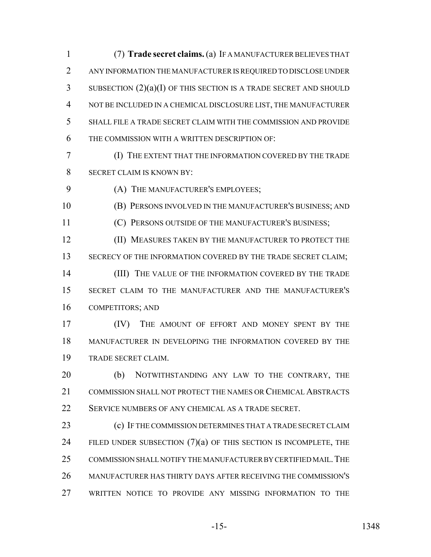(7) **Trade secret claims.** (a) IF A MANUFACTURER BELIEVES THAT ANY INFORMATION THE MANUFACTURER IS REQUIRED TO DISCLOSE UNDER SUBSECTION (2)(a)(I) OF THIS SECTION IS A TRADE SECRET AND SHOULD NOT BE INCLUDED IN A CHEMICAL DISCLOSURE LIST, THE MANUFACTURER SHALL FILE A TRADE SECRET CLAIM WITH THE COMMISSION AND PROVIDE THE COMMISSION WITH A WRITTEN DESCRIPTION OF:

 (I) THE EXTENT THAT THE INFORMATION COVERED BY THE TRADE SECRET CLAIM IS KNOWN BY:

(A) THE MANUFACTURER'S EMPLOYEES;

(B) PERSONS INVOLVED IN THE MANUFACTURER'S BUSINESS; AND

11 (C) PERSONS OUTSIDE OF THE MANUFACTURER'S BUSINESS;

**(II) MEASURES TAKEN BY THE MANUFACTURER TO PROTECT THE** 13 SECRECY OF THE INFORMATION COVERED BY THE TRADE SECRET CLAIM; 14 (III) THE VALUE OF THE INFORMATION COVERED BY THE TRADE SECRET CLAIM TO THE MANUFACTURER AND THE MANUFACTURER'S

COMPETITORS; AND

 (IV) THE AMOUNT OF EFFORT AND MONEY SPENT BY THE MANUFACTURER IN DEVELOPING THE INFORMATION COVERED BY THE TRADE SECRET CLAIM.

20 (b) NOTWITHSTANDING ANY LAW TO THE CONTRARY, THE COMMISSION SHALL NOT PROTECT THE NAMES OR CHEMICAL ABSTRACTS 22 SERVICE NUMBERS OF ANY CHEMICAL AS A TRADE SECRET.

**(c)** IF THE COMMISSION DETERMINES THAT A TRADE SECRET CLAIM 24 FILED UNDER SUBSECTION  $(7)(a)$  of this section is incomplete, the COMMISSION SHALL NOTIFY THE MANUFACTURER BY CERTIFIED MAIL.THE MANUFACTURER HAS THIRTY DAYS AFTER RECEIVING THE COMMISSION'S WRITTEN NOTICE TO PROVIDE ANY MISSING INFORMATION TO THE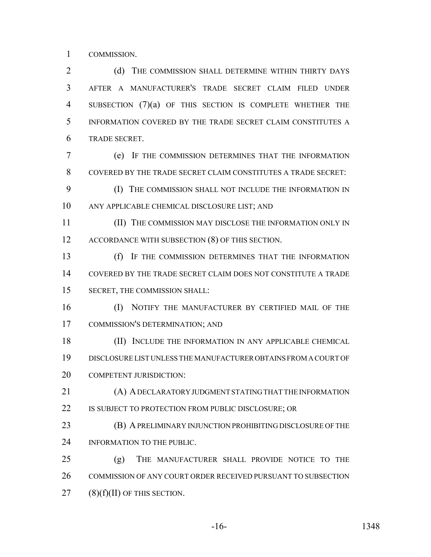COMMISSION.

2 (d) THE COMMISSION SHALL DETERMINE WITHIN THIRTY DAYS AFTER A MANUFACTURER'S TRADE SECRET CLAIM FILED UNDER SUBSECTION (7)(a) OF THIS SECTION IS COMPLETE WHETHER THE INFORMATION COVERED BY THE TRADE SECRET CLAIM CONSTITUTES A TRADE SECRET.

 (e) IF THE COMMISSION DETERMINES THAT THE INFORMATION COVERED BY THE TRADE SECRET CLAIM CONSTITUTES A TRADE SECRET:

 (I) THE COMMISSION SHALL NOT INCLUDE THE INFORMATION IN ANY APPLICABLE CHEMICAL DISCLOSURE LIST; AND

 (II) THE COMMISSION MAY DISCLOSE THE INFORMATION ONLY IN 12 ACCORDANCE WITH SUBSECTION (8) OF THIS SECTION.

 (f) IF THE COMMISSION DETERMINES THAT THE INFORMATION COVERED BY THE TRADE SECRET CLAIM DOES NOT CONSTITUTE A TRADE SECRET, THE COMMISSION SHALL:

 (I) NOTIFY THE MANUFACTURER BY CERTIFIED MAIL OF THE COMMISSION'S DETERMINATION; AND

 (II) INCLUDE THE INFORMATION IN ANY APPLICABLE CHEMICAL DISCLOSURE LIST UNLESS THE MANUFACTURER OBTAINS FROM A COURT OF 20 COMPETENT JURISDICTION:

 (A) A DECLARATORY JUDGMENT STATING THAT THE INFORMATION 22 IS SUBJECT TO PROTECTION FROM PUBLIC DISCLOSURE; OR

**(B) A PRELIMINARY INJUNCTION PROHIBITING DISCLOSURE OF THE** 24 INFORMATION TO THE PUBLIC.

 (g) THE MANUFACTURER SHALL PROVIDE NOTICE TO THE 26 COMMISSION OF ANY COURT ORDER RECEIVED PURSUANT TO SUBSECTION (8)(f)(II) OF THIS SECTION.

-16- 1348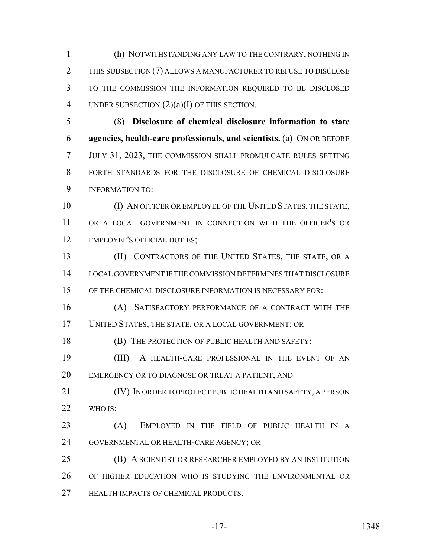(h) NOTWITHSTANDING ANY LAW TO THE CONTRARY, NOTHING IN THIS SUBSECTION (7) ALLOWS A MANUFACTURER TO REFUSE TO DISCLOSE TO THE COMMISSION THE INFORMATION REQUIRED TO BE DISCLOSED 4 UNDER SUBSECTION  $(2)(a)(I)$  OF THIS SECTION.

 (8) **Disclosure of chemical disclosure information to state agencies, health-care professionals, and scientists.** (a) ON OR BEFORE JULY 31, 2023, THE COMMISSION SHALL PROMULGATE RULES SETTING FORTH STANDARDS FOR THE DISCLOSURE OF CHEMICAL DISCLOSURE INFORMATION TO:

 (I) AN OFFICER OR EMPLOYEE OF THE UNITED STATES, THE STATE, OR A LOCAL GOVERNMENT IN CONNECTION WITH THE OFFICER'S OR EMPLOYEE'S OFFICIAL DUTIES;

**(II) CONTRACTORS OF THE UNITED STATES, THE STATE, OR A**  LOCAL GOVERNMENT IF THE COMMISSION DETERMINES THAT DISCLOSURE OF THE CHEMICAL DISCLOSURE INFORMATION IS NECESSARY FOR:

 (A) SATISFACTORY PERFORMANCE OF A CONTRACT WITH THE UNITED STATES, THE STATE, OR A LOCAL GOVERNMENT; OR

**(B) THE PROTECTION OF PUBLIC HEALTH AND SAFETY;** 

 (III) A HEALTH-CARE PROFESSIONAL IN THE EVENT OF AN EMERGENCY OR TO DIAGNOSE OR TREAT A PATIENT; AND

 (IV) IN ORDER TO PROTECT PUBLIC HEALTH AND SAFETY, A PERSON WHO IS:

 (A) EMPLOYED IN THE FIELD OF PUBLIC HEALTH IN A GOVERNMENTAL OR HEALTH-CARE AGENCY; OR

 (B) A SCIENTIST OR RESEARCHER EMPLOYED BY AN INSTITUTION OF HIGHER EDUCATION WHO IS STUDYING THE ENVIRONMENTAL OR **HEALTH IMPACTS OF CHEMICAL PRODUCTS.**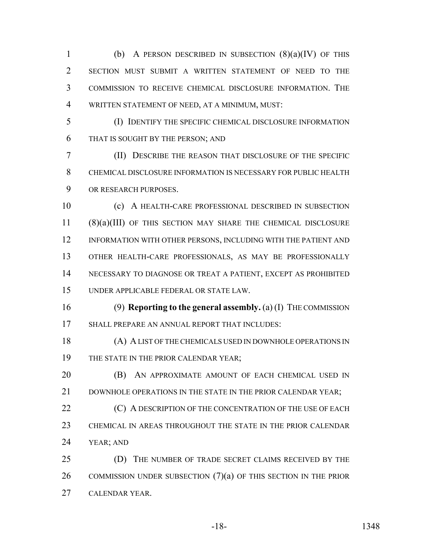1 (b) A PERSON DESCRIBED IN SUBSECTION  $(8)(a)(IV)$  OF THIS SECTION MUST SUBMIT A WRITTEN STATEMENT OF NEED TO THE COMMISSION TO RECEIVE CHEMICAL DISCLOSURE INFORMATION. THE WRITTEN STATEMENT OF NEED, AT A MINIMUM, MUST:

 (I) IDENTIFY THE SPECIFIC CHEMICAL DISCLOSURE INFORMATION THAT IS SOUGHT BY THE PERSON; AND

 (II) DESCRIBE THE REASON THAT DISCLOSURE OF THE SPECIFIC CHEMICAL DISCLOSURE INFORMATION IS NECESSARY FOR PUBLIC HEALTH OR RESEARCH PURPOSES.

 (c) A HEALTH-CARE PROFESSIONAL DESCRIBED IN SUBSECTION (8)(a)(III) OF THIS SECTION MAY SHARE THE CHEMICAL DISCLOSURE 12 INFORMATION WITH OTHER PERSONS, INCLUDING WITH THE PATIENT AND OTHER HEALTH-CARE PROFESSIONALS, AS MAY BE PROFESSIONALLY NECESSARY TO DIAGNOSE OR TREAT A PATIENT, EXCEPT AS PROHIBITED UNDER APPLICABLE FEDERAL OR STATE LAW.

 (9) **Reporting to the general assembly.** (a) (I) THE COMMISSION SHALL PREPARE AN ANNUAL REPORT THAT INCLUDES:

 (A) A LIST OF THE CHEMICALS USED IN DOWNHOLE OPERATIONS IN 19 THE STATE IN THE PRIOR CALENDAR YEAR;

**(B)** AN APPROXIMATE AMOUNT OF EACH CHEMICAL USED IN 21 DOWNHOLE OPERATIONS IN THE STATE IN THE PRIOR CALENDAR YEAR;

**(C) A DESCRIPTION OF THE CONCENTRATION OF THE USE OF EACH**  CHEMICAL IN AREAS THROUGHOUT THE STATE IN THE PRIOR CALENDAR YEAR; AND

 (D) THE NUMBER OF TRADE SECRET CLAIMS RECEIVED BY THE 26 COMMISSION UNDER SUBSECTION  $(7)(a)$  of this section in the prior CALENDAR YEAR.